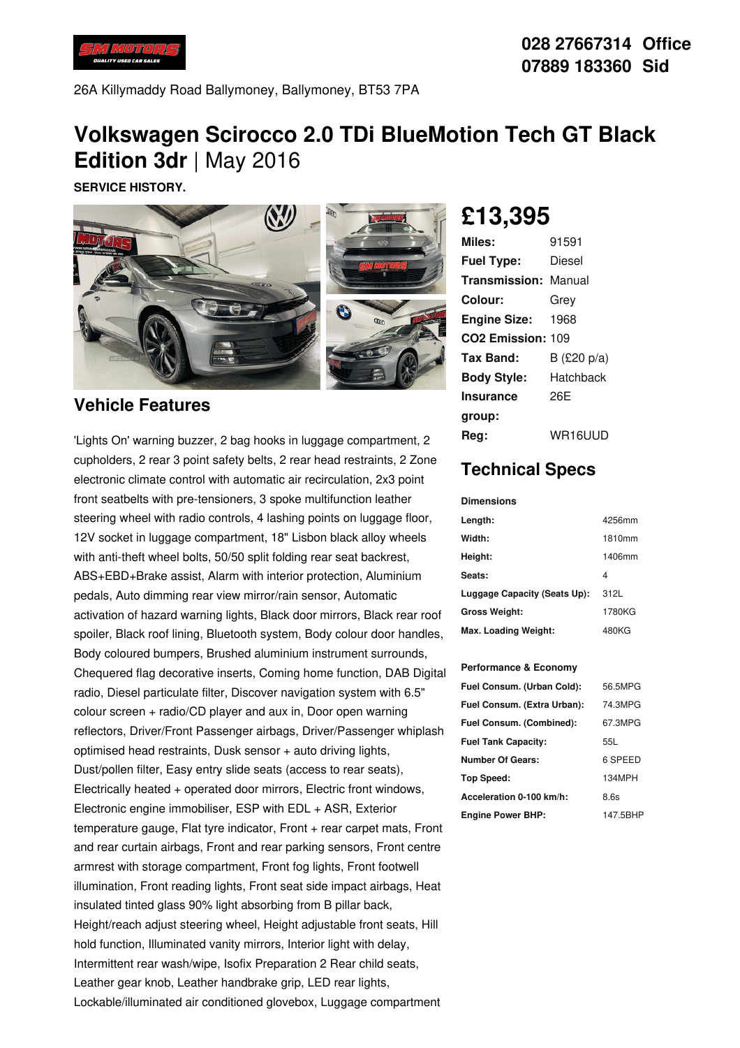

26A Killymaddy Road Ballymoney, Ballymoney, BT53 7PA

## **Volkswagen Scirocco 2.0 TDi BlueMotion Tech GT Black Edition 3dr** |May 2016

**SERVICE HISTORY.**



### **Vehicle Features**

'Lights On' warning buzzer, 2 bag hooks in luggage compartment, 2 cupholders, 2 rear 3 point safety belts, 2 rear head restraints, 2 Zone electronic climate control with automatic air recirculation, 2x3 point front seatbelts with pre-tensioners, 3 spoke multifunction leather steering wheel with radio controls, 4 lashing points on luggage floor, 12V socket in luggage compartment, 18" Lisbon black alloy wheels with anti-theft wheel bolts, 50/50 split folding rear seat backrest, ABS+EBD+Brake assist, Alarm with interior protection, Aluminium pedals, Auto dimming rear view mirror/rain sensor, Automatic activation of hazard warning lights, Black door mirrors, Black rear roof spoiler, Black roof lining, Bluetooth system, Body colour door handles, Body coloured bumpers, Brushed aluminium instrument surrounds, Chequered flag decorative inserts, Coming home function, DAB Digital radio, Diesel particulate filter, Discover navigation system with 6.5" colour screen + radio/CD player and aux in, Door open warning reflectors, Driver/Front Passenger airbags, Driver/Passenger whiplash optimised head restraints, Dusk sensor + auto driving lights, Dust/pollen filter, Easy entry slide seats (access to rear seats), Electrically heated + operated door mirrors, Electric front windows, Electronic engine immobiliser, ESP with EDL + ASR, Exterior temperature gauge, Flat tyre indicator, Front + rear carpet mats, Front and rear curtain airbags, Front and rear parking sensors, Front centre armrest with storage compartment, Front fog lights, Front footwell illumination, Front reading lights, Front seat side impact airbags, Heat insulated tinted glass 90% light absorbing from B pillar back, Height/reach adjust steering wheel, Height adjustable front seats, Hill hold function, Illuminated vanity mirrors, Interior light with delay, Intermittent rear wash/wipe, Isofix Preparation 2 Rear child seats, Leather gear knob, Leather handbrake grip, LED rear lights, Lockable/illuminated air conditioned glovebox, Luggage compartment

# **£13,395**

| Miles:                      | 91591          |
|-----------------------------|----------------|
| <b>Fuel Type:</b>           | Diesel         |
| <b>Transmission: Manual</b> |                |
| Colour:                     | Grev           |
| <b>Engine Size:</b>         | 1968           |
| CO2 Emission: 109           |                |
| Tax Band:                   | B (£20 $p/a$ ) |
| <b>Body Style:</b>          | Hatchback      |
| <b>Insurance</b>            | 26E            |
| group:                      |                |
| Reg:                        | WR16UUD        |

## **Technical Specs**

#### **Dimensions**

| Length:                      | 4256mm |
|------------------------------|--------|
| Width:                       | 1810mm |
| Height:                      | 1406mm |
| Seats:                       | 4      |
| Luggage Capacity (Seats Up): | 312L   |
| <b>Gross Weight:</b>         | 1780KG |
| Max. Loading Weight:         | 480KG  |

#### **Performance & Economy**

| Fuel Consum. (Urban Cold):  | 56.5MPG  |
|-----------------------------|----------|
| Fuel Consum. (Extra Urban): | 74.3MPG  |
| Fuel Consum. (Combined):    | 67.3MPG  |
| <b>Fuel Tank Capacity:</b>  | 55L      |
| <b>Number Of Gears:</b>     | 6 SPEED  |
| Top Speed:                  | 134MPH   |
| Acceleration 0-100 km/h:    | 8.6s     |
| <b>Engine Power BHP:</b>    | 147.5BHP |